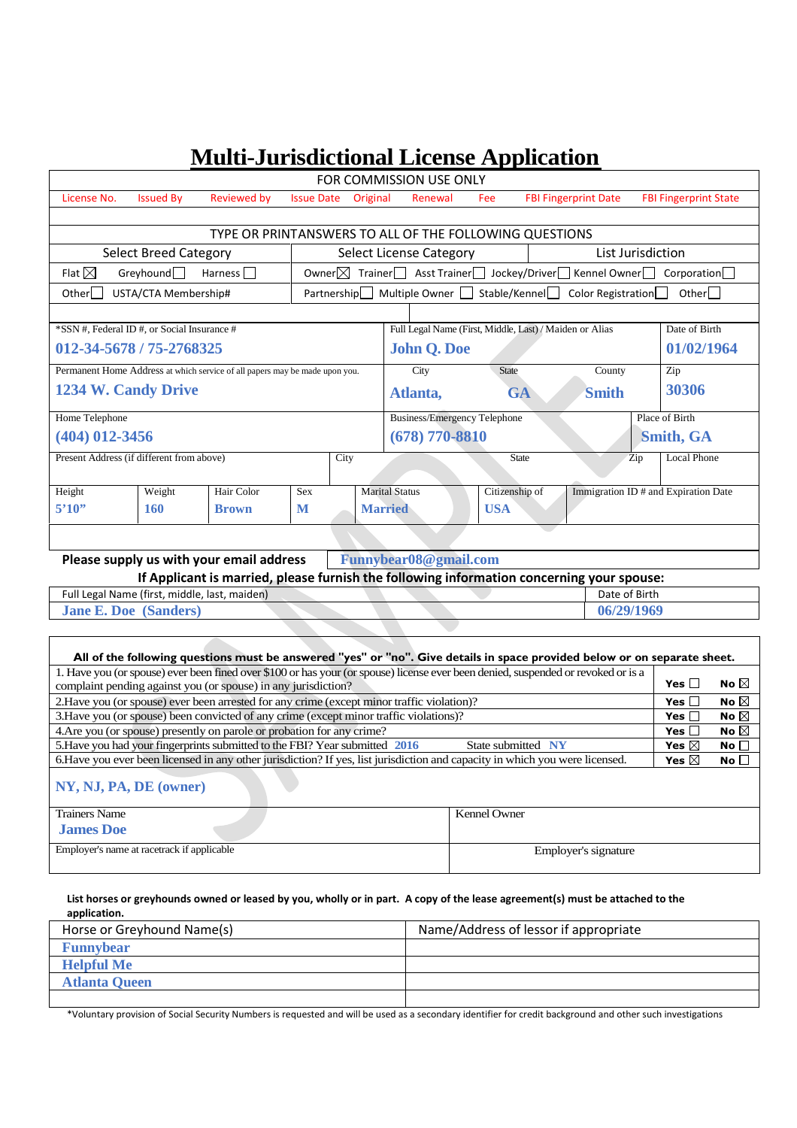# **Multi-Jurisdictional License Application**

| FOR COMMISSION USE ONLY                                                                   |                                                        |                                                                             |                   |                                                                                  |                                         |                                                       |                |                                                         |                    |                                      |
|-------------------------------------------------------------------------------------------|--------------------------------------------------------|-----------------------------------------------------------------------------|-------------------|----------------------------------------------------------------------------------|-----------------------------------------|-------------------------------------------------------|----------------|---------------------------------------------------------|--------------------|--------------------------------------|
| License No.                                                                               | <b>Issued By</b>                                       | <b>Reviewed by</b>                                                          | <b>Issue Date</b> |                                                                                  | Original                                | Renewal                                               | Fee            | <b>FBI Fingerprint Date</b>                             |                    | <b>FBI Fingerprint State</b>         |
|                                                                                           |                                                        |                                                                             |                   |                                                                                  |                                         |                                                       |                |                                                         |                    |                                      |
|                                                                                           | TYPE OR PRINTANSWERS TO ALL OF THE FOLLOWING QUESTIONS |                                                                             |                   |                                                                                  |                                         |                                                       |                |                                                         |                    |                                      |
| <b>Select Breed Category</b>                                                              |                                                        |                                                                             |                   | Select License Category<br>List Jurisdiction                                     |                                         |                                                       |                |                                                         |                    |                                      |
| Flat $\boxtimes$                                                                          | Greybound                                              | Harness                                                                     |                   | Owner $\boxtimes$<br>Trainer Asst Trainer Jockey/Driver Kennel Owner Corporation |                                         |                                                       |                |                                                         |                    |                                      |
| Otherl I                                                                                  | USTA/CTA Membership#                                   |                                                                             |                   | Partnership                                                                      |                                         | Multiple Owner U                                      |                | Stable/Kennel□<br>Color Registration                    |                    | Other                                |
|                                                                                           |                                                        |                                                                             |                   |                                                                                  |                                         |                                                       |                |                                                         |                    |                                      |
| *SSN #, Federal ID #, or Social Insurance #                                               |                                                        |                                                                             |                   |                                                                                  |                                         |                                                       |                | Full Legal Name (First, Middle, Last) / Maiden or Alias |                    | Date of Birth                        |
| 012-34-5678 / 75-2768325                                                                  |                                                        |                                                                             |                   |                                                                                  |                                         | <b>John Q. Doe</b><br>01/02/1964                      |                |                                                         |                    |                                      |
|                                                                                           |                                                        | Permanent Home Address at which service of all papers may be made upon you. |                   |                                                                                  |                                         | City                                                  | <b>State</b>   | County                                                  | Zip                |                                      |
| <b>1234 W. Candy Drive</b>                                                                |                                                        |                                                                             |                   |                                                                                  | 30306<br><b>Smith</b><br>Atlanta,<br>GA |                                                       |                |                                                         |                    |                                      |
| Home Telephone                                                                            |                                                        |                                                                             |                   |                                                                                  |                                         | Place of Birth<br><b>Business/Emergency Telephone</b> |                |                                                         |                    |                                      |
| $(404)$ 012-3456                                                                          |                                                        |                                                                             |                   |                                                                                  |                                         | $(678)$ 770-8810<br><b>Smith, GA</b>                  |                |                                                         |                    |                                      |
| Present Address (if different from above)<br>City                                         |                                                        |                                                                             |                   |                                                                                  |                                         |                                                       | <b>State</b>   | Zip                                                     | <b>Local Phone</b> |                                      |
|                                                                                           |                                                        |                                                                             |                   |                                                                                  |                                         |                                                       |                |                                                         |                    |                                      |
| Height                                                                                    | Weight                                                 | Hair Color                                                                  | Sex               |                                                                                  | <b>Marital Status</b>                   |                                                       | Citizenship of |                                                         |                    | Immigration ID # and Expiration Date |
| 5'10''                                                                                    | 160                                                    | <b>Brown</b>                                                                | M                 |                                                                                  | <b>Married</b>                          |                                                       | <b>USA</b>     |                                                         |                    |                                      |
|                                                                                           |                                                        |                                                                             |                   |                                                                                  |                                         |                                                       |                |                                                         |                    |                                      |
|                                                                                           |                                                        | Please supply us with your email address                                    |                   |                                                                                  |                                         | Funnybear08@gmail.com                                 |                |                                                         |                    |                                      |
| If Applicant is married, please furnish the following information concerning your spouse: |                                                        |                                                                             |                   |                                                                                  |                                         |                                                       |                |                                                         |                    |                                      |

**If Applicant is married, please furnish the following information concerning your spouse:**

Full Legal Name (first, middle, last, maiden) Date of Birth **Jane E. Doe (Sanders) 06/29/1969**

Г

| All of the following questions must be answered "yes" or "no". Give details in space provided below or on separate sheet.         |                      |                 |                |  |  |  |
|-----------------------------------------------------------------------------------------------------------------------------------|----------------------|-----------------|----------------|--|--|--|
| 1. Have you (or spouse) ever been fined over \$100 or has your (or spouse) license ever been denied, suspended or revoked or is a |                      | Yes $\Box$      | No $\boxtimes$ |  |  |  |
| complaint pending against you (or spouse) in any jurisdiction?                                                                    |                      |                 |                |  |  |  |
| 2. Have you (or spouse) ever been arrested for any crime (except minor traffic violation)?                                        | Yes $\Box$           | No $\boxtimes$  |                |  |  |  |
| 3. Have you (or spouse) been convicted of any crime (except minor traffic violations)?                                            |                      |                 |                |  |  |  |
| 4. Are you (or spouse) presently on parole or probation for any crime?                                                            | Yes I                | No $\boxtimes$  |                |  |  |  |
| 5. Have you had your fingerprints submitted to the FBI? Year submitted 2016                                                       | Yes $\boxtimes$      | No $\square$    |                |  |  |  |
| 6. Have you ever been licensed in any other jurisdiction? If yes, list jurisdiction and capacity in which you were licensed.      | Yes $\boxtimes$      | No <sub>1</sub> |                |  |  |  |
| NY, NJ, PA, DE (owner)                                                                                                            |                      |                 |                |  |  |  |
| <b>Trainers Name</b>                                                                                                              | <b>Kennel Owner</b>  |                 |                |  |  |  |
| <b>James Doe</b>                                                                                                                  |                      |                 |                |  |  |  |
| Employer's name at racetrack if applicable                                                                                        | Employer's signature |                 |                |  |  |  |

٦

## **List horses or greyhounds owned or leased by you, wholly or in part. A copy of the lease agreement(s) must be attached to the application.**

| Horse or Greyhound Name(s) | Name/Address of lessor if appropriate |
|----------------------------|---------------------------------------|
| <b>Funnybear</b>           |                                       |
| <b>Helpful Me</b>          |                                       |
| <b>Atlanta Queen</b>       |                                       |
|                            |                                       |

\*Voluntary provision of Social Security Numbers is requested and will be used as a secondary identifier for credit background and other such investigations